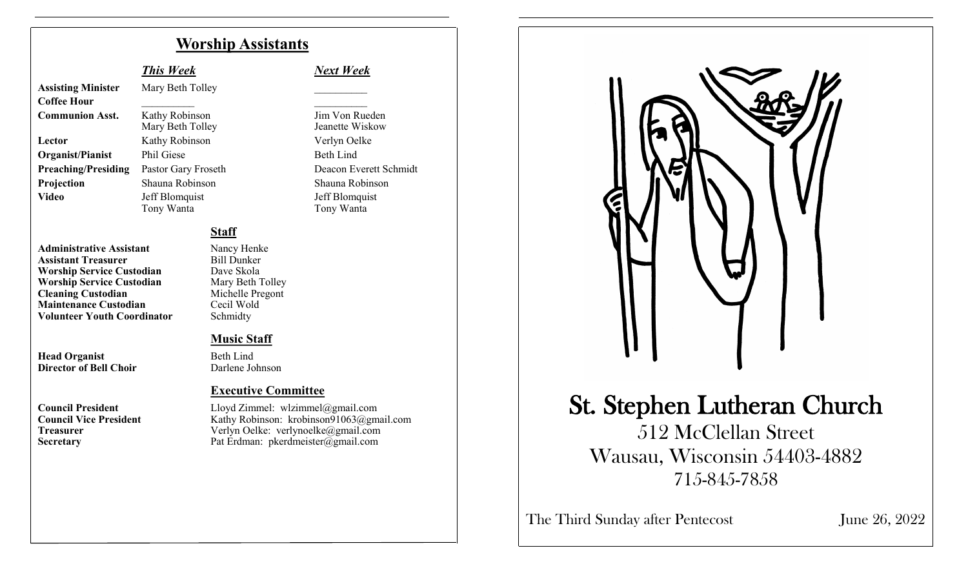### **Worship Assistants**

**Assisting Minister** Mary Beth Tolley **Coffee Hour** \_\_\_\_\_\_\_\_\_\_ \_\_\_\_\_\_\_\_\_\_

**Communion Asst.** Kathy Robinson Jim Von Rueden **Lector** Kathy Robinson Verlyn Oelke **Organist/Pianist** Phil Giese Beth Lind **Projection** Shauna Robinson Shauna Robinson Video Jeff Blomquist<br>
Tony Wanta<br>
Tony Wanta<br>
Tony Wanta

**Staff**

**Administrative Assistant** Nancy Henke<br> **Assistant Treasurer** Bill Dunker **Assistant Treasurer 1988** Bill Dunker<br> **Worship Service Custodian** Dave Skola **Worship Service Custodian** Dave Skola<br> **Worship Service Custodian** Mary Beth Tolley **Worship Service Custodian** Mary Beth Tolley<br> **Cleaning Custodian** Michelle Pregont **Cleaning Custodian**<br> **Maintenance Custodian**<br>
Cecil Wold **Maintenance Custodian Volunteer Youth Coordinator** Schmidty

**Head Organist** Beth Lind **Director of Bell Choir** Darlene Johnson

#### *This Week Next Week*

Mary Beth Tolley Jeanette Wiskow **Preaching/Presiding** Pastor Gary Froseth Deacon Everett Schmidt Tony Wanta

#### **Music Staff**

#### **Executive Committee**

**Council President**<br>
Council Vice President<br>
Council Vice President<br>
Council Vice President<br>
Council Vice President<br>
Council Vice President<br>
Council Vice President<br>
Council Vice President<br>
Council Vice President<br>
Council V Kathy Robinson: krobinson91063@gmail.com **Treasurer** Verlyn Oelke: verlynoelke@gmail.com **Secretary** Pat Erdman: pkerdmeister@gmail.com



## St. Stephen Lutheran Church

512 McClellan Street Wausau, Wisconsin 54403-4882 715-845-7858

The Third Sunday after Pentecost June 26, 2022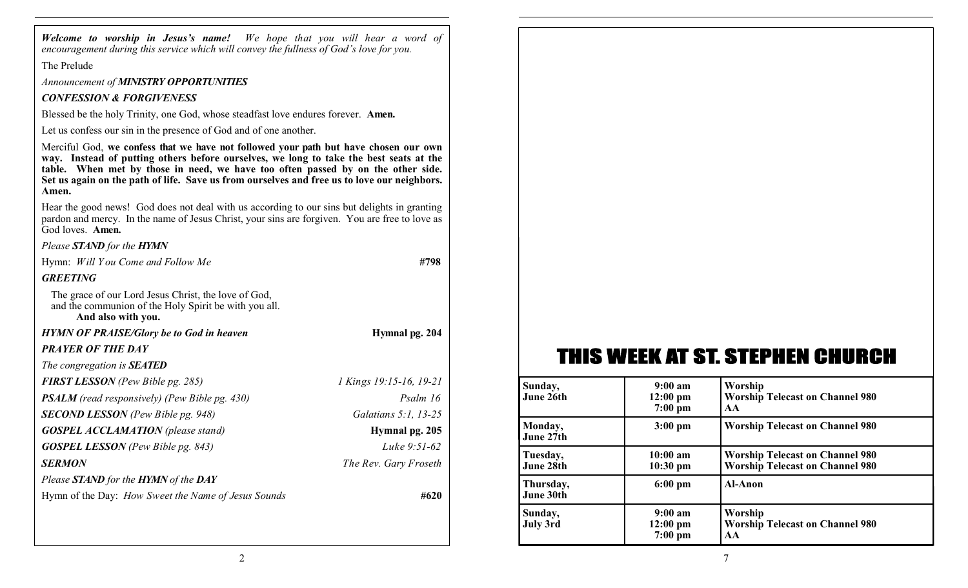*Welcome to worship in Jesus's name! We hope that you will hear a word of encouragement during this service which will convey the fullness of God's love for you.*

The Prelude

*Announcement of MINISTRY OPPORTUNITIES*

#### *CONFESSION & FORGIVENESS*

Blessed be the holy Trinity, one God, whose steadfast love endures forever. **Amen.**

Let us confess our sin in the presence of God and of one another.

Merciful God, **we confess that we have not followed your path but have chosen our own way. Instead of putting others before ourselves, we long to take the best seats at the table. When met by those in need, we have too often passed by on the other side. Set us again on the path of life. Save us from ourselves and free us to love our neighbors. Amen.**

Hear the good news! God does not deal with us according to our sins but delights in granting pardon and mercy. In the name of Jesus Christ, your sins are forgiven. You are free to love as God loves. **Amen.**

#### *Please STAND for the HYMN*

Hymn: *Will Y ou Come and Follow Me* **#798**

#### *GREETING*

The grace of our Lord Jesus Christ, the love of God, and the communion of the Holy Spirit be with you all. **And also with you.**

#### *HYMN OF PRAISE/Glory be to God in heaven* **Hymnal pg. 204**

#### *PRAYER OF THE DAY*

*The congregation is SEATED*

*FIRST LESSON (Pew Bible pg. 285) 1 Kings 19:15-16, 19-21 PSALM* (read responsively) (Pew Bible pg. 430) Psalm 16 *SECOND LESSON (Pew Bible pg. 948) Galatians 5:1, 13-25 GOSPEL ACCLAMATION (please stand)* **Hymnal pg. 205** *GOSPEL LESSON (Pew Bible pg. 843) Luke 9:51-62 SERMON The Rev. Gary Froseth Please STAND for the HYMN of the DAY* Hymn of the Day: *How Sweet the Name of Jesus Sounds* **#620**

## THIS WEEK AT ST. STEPHEN CHURCH

| Sunday,<br>June 26th   | $9:00 \text{ am}$<br>$12:00 \text{ pm}$<br>$7:00$ pm | Worship<br><b>Worship Telecast on Channel 980</b><br>AA                          |
|------------------------|------------------------------------------------------|----------------------------------------------------------------------------------|
| Monday,<br>June 27th   | $3:00 \text{ pm}$                                    | <b>Worship Telecast on Channel 980</b>                                           |
| Tuesday,<br>June 28th  | $10:00$ am<br>$10:30$ pm                             | <b>Worship Telecast on Channel 980</b><br><b>Worship Telecast on Channel 980</b> |
| Thursday,<br>June 30th | $6:00 \text{ pm}$                                    | <b>Al-Anon</b>                                                                   |
| Sunday,<br>July 3rd    | $9:00 \text{ am}$<br>$12:00 \text{ pm}$<br>$7:00$ pm | Worship<br><b>Worship Telecast on Channel 980</b><br>AA                          |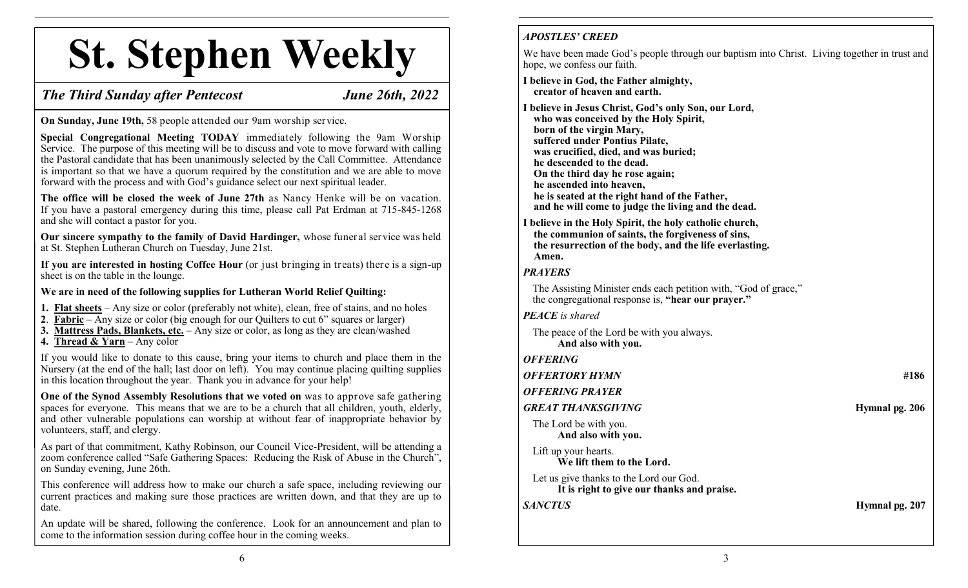# **St. Stephen Weekly**

#### *The Third Sunday after Pentecost June 26th, 2022*

**On Sunday, June 19th,** 58 people attended our 9am worship service.

**Special Congregational Meeting TODAY** immediately following the 9am Worship Service. The purpose of this meeting will be to discuss and vote to move forward with calling the Pastoral candidate that has been unanimously selected by the Call Committee. Attendance is important so that we have a quorum required by the constitution and we are able to move forward with the process and with God's guidance select our next spiritual leader.

**The office will be closed the week of June 27th** as Nancy Henke will be on vacation. If you have a pastoral emergency during this time, please call Pat Erdman at 715-845-1268 and she will contact a pastor for you.

**Our sincere sympathy to the family of David Hardinger,** whose funeral service was held at St. Stephen Lutheran Church on Tuesday, June 21st.

**If you are interested in hosting Coffee Hour** (or just bringing in treats) there is a sign-up sheet is on the table in the lounge.

**We are in need of the following supplies for Lutheran World Relief Quilting:**

- **1. Flat sheets** Any size or color (preferably not white), clean, free of stains, and no holes
- **2**. **Fabric** Any size or color (big enough for our Quilters to cut 6" squares or larger)
- **3. Mattress Pads, Blankets, etc.** Any size or color, as long as they are clean/washed
- **4. Thread & Yarn** Any color

If you would like to donate to this cause, bring your items to church and place them in the Nursery (at the end of the hall; last door on left). You may continue placing quilting supplies in this location throughout the year. Thank you in advance for your help!

**One of the Synod Assembly Resolutions that we voted on** was to approve safe gathering spaces for everyone. This means that we are to be a church that all children, youth, elderly, and other vulnerable populations can worship at without fear of inappropriate behavior by volunteers, staff, and clergy.

As part of that commitment, Kathy Robinson, our Council Vice-President, will be attending a zoom conference called "Safe Gathering Spaces: Reducing the Risk of Abuse in the Church", on Sunday evening, June 26th.

This conference will address how to make our church a safe space, including reviewing our current practices and making sure those practices are written down, and that they are up to date.

An update will be shared, following the conference. Look for an announcement and plan to come to the information session during coffee hour in the coming weeks.

#### *APOSTLES' CREED*

We have been made God's people through our baptism into Christ. Living together in trust and hope, we confess our faith.

**I believe in God, the Father almighty, creator of heaven and earth.**

**I believe in Jesus Christ, God's only Son, our Lord, who was conceived by the Holy Spirit, born of the virgin Mary, suffered under Pontius Pilate, was crucified, died, and was buried; he descended to the dead. On the third day he rose again; he ascended into heaven, he is seated at the right hand of the Father, and he will come to judge the living and the dead.**

**I believe in the Holy Spirit, the holy catholic church, the communion of saints, the forgiveness of sins, the resurrection of the body, and the life everlasting. Amen.**

#### *PRAYERS*

The Assisting Minister ends each petition with, "God of grace," the congregational response is, **"hear our prayer."**

*PEACE is shared*

The peace of the Lord be with you always. **And also with you.**

*OFFERING*

*OFFERTORY HYMN* **#186**

*OFFERING PRAYER*

#### *GREAT THANKSGIVING* **Hymnal pg. 206**

The Lord be with you. **And also with you.**

Lift up your hearts. **We lift them to the Lord.**

Let us give thanks to the Lord our God. **It is right to give our thanks and praise.**

*SANCTUS* **Hymnal pg. 207**